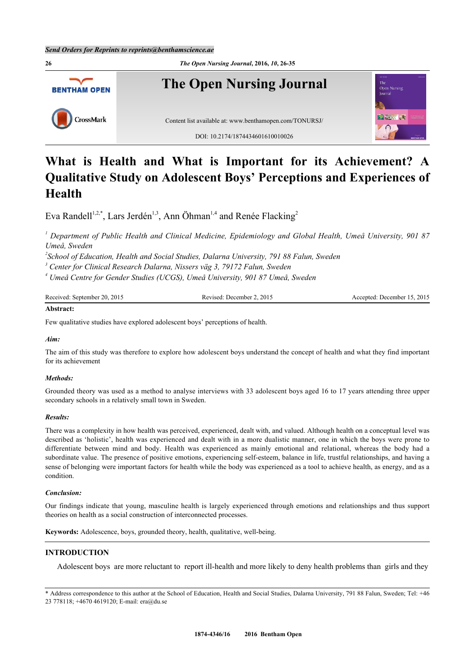

# **What is Health and What is Important for its Achievement? A Qualitative Study on Adolescent Boys' Perceptions and Experiences of Health**

Eva Randell<sup>[1,](#page-0-0)[2,](#page-0-1)[\\*](#page-0-2)</sup>, Lars Jerdén<sup>[1](#page-0-0)[,3](#page-0-3)</sup>, Ann Öhman<sup>1,[4](#page-0-4)</sup> and Renée Flacking<sup>[2](#page-0-1)</sup>

<span id="page-0-0"></span>*1 Department of Public Health and Clinical Medicine, Epidemiology and Global Health, Umeå University, 901 87 Umeå, Sweden*

<span id="page-0-1"></span>*2 School of Education, Health and Social Studies, Dalarna University, 791 88 Falun, Sweden*

<span id="page-0-3"></span>*3 Center for Clinical Research Dalarna, Nissers väg 3, 79172 Falun, Sweden*

<span id="page-0-4"></span>*4 Umeå Centre for Gender Studies (UCGS), Umeå University, 901 87 Umeå, Sweden*

| Received: September 20, 2015        | December 2, 2015<br>Revised: | Accepted: December 15, 2015 |
|-------------------------------------|------------------------------|-----------------------------|
| the contract of the contract of the |                              |                             |

# **Abstract:**

Few qualitative studies have explored adolescent boys' perceptions of health.

# *Aim:*

The aim of this study was therefore to explore how adolescent boys understand the concept of health and what they find important for its achievement

# *Methods:*

Grounded theory was used as a method to analyse interviews with 33 adolescent boys aged 16 to 17 years attending three upper secondary schools in a relatively small town in Sweden.

#### *Results:*

There was a complexity in how health was perceived, experienced, dealt with, and valued. Although health on a conceptual level was described as 'holistic', health was experienced and dealt with in a more dualistic manner, one in which the boys were prone to differentiate between mind and body. Health was experienced as mainly emotional and relational, whereas the body had a subordinate value. The presence of positive emotions, experiencing self-esteem, balance in life, trustful relationships, and having a sense of belonging were important factors for health while the body was experienced as a tool to achieve health, as energy, and as a condition.

#### *Conclusion:*

Our findings indicate that young, masculine health is largely experienced through emotions and relationships and thus support theories on health as a social construction of interconnected processes.

**Keywords:** Adolescence, boys, grounded theory, health, qualitative, well-being.

# **INTRODUCTION**

Adolescent boys are more reluctant to report ill-health and more likely to deny health problems than girls and they

<span id="page-0-2"></span>\* Address correspondence to this author at the School of Education, Health and Social Studies, Dalarna University, 791 88 Falun, Sweden; Tel: +46 23 778118; +4670 4619120; E-mail: [era@du.se](mailto:era@du.se)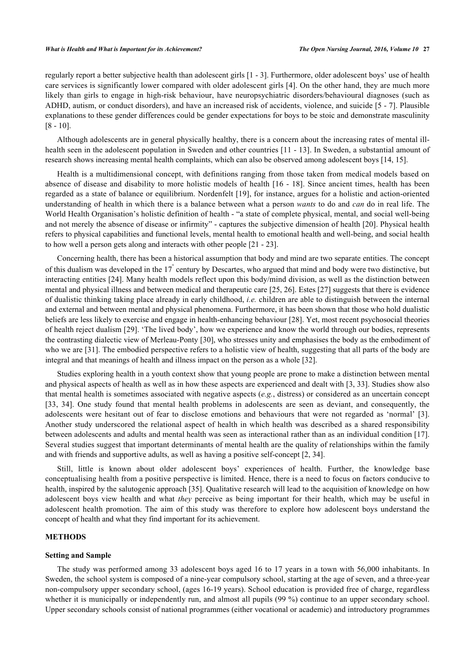regularly report a better subjective health than adolescent girls [[1](#page-7-0) - [3](#page-7-1)]. Furthermore, older adolescent boys' use of health care services is significantly lower compared with older adolescent girls [[4](#page-7-2)]. On the other hand, they are much more likely than girls to engage in high-risk behaviour, have neuropsychiatric disorders/behavioural diagnoses (such as ADHD, autism, or conduct disorders), and have an increased risk of accidents, violence, and suicide [[5](#page-7-3) - [7\]](#page-7-4). Plausible explanations to these gender differences could be gender expectations for boys to be stoic and demonstrate masculinity [\[8](#page-7-5) - [10](#page-7-6)].

Although adolescents are in general physically healthy, there is a concern about the increasing rates of mental ill-health seen in the adolescent population in Sweden and other countries [\[11](#page-7-7) - [13\]](#page-7-8). In Sweden, a substantial amount of research shows increasing mental health complaints, which can also be observed among adolescent boys [[14](#page-7-9)[, 15\]](#page-7-10).

Health is a multidimensional concept, with definitions ranging from those taken from medical models based on absence of disease and disability to more holistic models of health [[16](#page-7-11) - [18](#page-8-0)]. Since ancient times, health has been regarded as a state of balance or equilibrium. Nordenfelt [[19](#page-8-1)], for instance, argues for a holistic and action-oriented understanding of health in which there is a balance between what a person *wants* to do and *can* do in real life. The World Health Organisation's holistic definition of health - "a state of complete physical, mental, and social well-being and not merely the absence of disease or infirmity" - captures the subjective dimension of health [[20\]](#page-8-2). Physical health refers to physical capabilities and functional levels, mental health to emotional health and well-being, and social health to how well a person gets along and interacts with other people [[21](#page-8-3) - [23](#page-8-4)].

Concerning health, there has been a historical assumption that body and mind are two separate entities. The concept of this dualism was developed in the  $17^{\degree}$  century by Descartes, who argued that mind and body were two distinctive, but interacting entities [\[24](#page-8-5)]. Many health models reflect upon this body/mind division, as well as the distinction between mental and physical illness and between medical and therapeutic care [[25](#page-8-6), [26](#page-8-7)]. Estes [\[27](#page-8-8)] suggests that there is evidence of dualistic thinking taking place already in early childhood, *i.e.* children are able to distinguish between the internal and external and between mental and physical phenomena. Furthermore, it has been shown that those who hold dualistic beliefs are less likely to exercise and engage in health-enhancing behaviour [\[28](#page-8-9)]. Yet, most recent psychosocial theories of health reject dualism [[29\]](#page-8-10). 'The lived body', how we experience and know the world through our bodies, represents the contrasting dialectic view of Merleau-Ponty [\[30](#page-8-11)], who stresses unity and emphasises the body as the embodiment of who we are [[31\]](#page-8-12). The embodied perspective refers to a holistic view of health, suggesting that all parts of the body are integral and that meanings of health and illness impact on the person as a whole [[32\]](#page-8-13).

Studies exploring health in a youth context show that young people are prone to make a distinction between mental and physical aspects of health as well as in how these aspects are experienced and dealt with [\[3](#page-7-1), [33\]](#page-8-14). Studies show also that mental health is sometimes associated with negative aspects (*e.g.*, distress) or considered as an uncertain concept [\[33](#page-8-14), [34](#page-8-15)]. One study found that mental health problems in adolescents are seen as deviant, and consequently, the adolescents were hesitant out of fear to disclose emotions and behaviours that were not regarded as 'normal' [[3\]](#page-7-1). Another study underscored the relational aspect of health in which health was described as a shared responsibility between adolescents and adults and mental health was seen as interactional rather than as an individual condition [[17\]](#page-7-12). Several studies suggest that important determinants of mental health are the quality of relationships within the family and with friends and supportive adults, as well as having a positive self-concept [[2,](#page-7-13) [34\]](#page-8-15).

Still, little is known about older adolescent boys' experiences of health. Further, the knowledge base conceptualising health from a positive perspective is limited. Hence, there is a need to focus on factors conducive to health, inspired by the salutogenic approach [[35\]](#page-8-16). Qualitative research will lead to the acquisition of knowledge on how adolescent boys view health and what *they* perceive as being important for their health, which may be useful in adolescent health promotion. The aim of this study was therefore to explore how adolescent boys understand the concept of health and what they find important for its achievement.

# **METHODS**

#### **Setting and Sample**

The study was performed among 33 adolescent boys aged 16 to 17 years in a town with 56,000 inhabitants. In Sweden, the school system is composed of a nine-year compulsory school, starting at the age of seven, and a three-year non-compulsory upper secondary school, (ages 16-19 years). School education is provided free of charge, regardless whether it is municipally or independently run, and almost all pupils (99 %) continue to an upper secondary school. Upper secondary schools consist of national programmes (either vocational or academic) and introductory programmes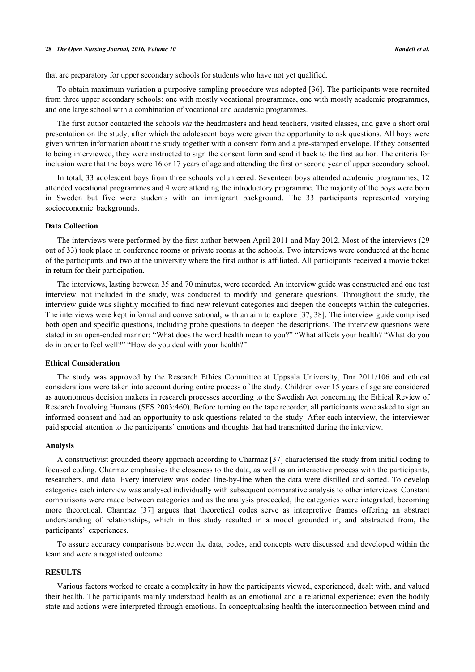that are preparatory for upper secondary schools for students who have not yet qualified.

To obtain maximum variation a purposive sampling procedure was adopted [[36\]](#page-8-17). The participants were recruited from three upper secondary schools: one with mostly vocational programmes, one with mostly academic programmes, and one large school with a combination of vocational and academic programmes.

The first author contacted the schools *via* the headmasters and head teachers, visited classes, and gave a short oral presentation on the study, after which the adolescent boys were given the opportunity to ask questions. All boys were given written information about the study together with a consent form and a pre-stamped envelope. If they consented to being interviewed, they were instructed to sign the consent form and send it back to the first author. The criteria for inclusion were that the boys were 16 or 17 years of age and attending the first or second year of upper secondary school.

In total, 33 adolescent boys from three schools volunteered. Seventeen boys attended academic programmes, 12 attended vocational programmes and 4 were attending the introductory programme. The majority of the boys were born in Sweden but five were students with an immigrant background. The 33 participants represented varying socioeconomic backgrounds.

#### **Data Collection**

The interviews were performed by the first author between April 2011 and May 2012. Most of the interviews (29 out of 33) took place in conference rooms or private rooms at the schools. Two interviews were conducted at the home of the participants and two at the university where the first author is affiliated. All participants received a movie ticket in return for their participation.

The interviews, lasting between 35 and 70 minutes, were recorded. An interview guide was constructed and one test interview, not included in the study, was conducted to modify and generate questions. Throughout the study, the interview guide was slightly modified to find new relevant categories and deepen the concepts within the categories. The interviews were kept informal and conversational, with an aim to explore [\[37](#page-8-18), [38\]](#page-8-19). The interview guide comprised both open and specific questions, including probe questions to deepen the descriptions. The interview questions were stated in an open-ended manner: "What does the word health mean to you?" "What affects your health? "What do you do in order to feel well?" "How do you deal with your health?"

# **Ethical Consideration**

The study was approved by the Research Ethics Committee at Uppsala University, Dnr 2011/106 and ethical considerations were taken into account during entire process of the study. Children over 15 years of age are considered as autonomous decision makers in research processes according to the Swedish Act concerning the Ethical Review of Research Involving Humans (SFS 2003:460). Before turning on the tape recorder, all participants were asked to sign an informed consent and had an opportunity to ask questions related to the study. After each interview, the interviewer paid special attention to the participants' emotions and thoughts that had transmitted during the interview.

#### **Analysis**

A constructivist grounded theory approach according to Charmaz [[37\]](#page-8-18) characterised the study from initial coding to focused coding. Charmaz emphasises the closeness to the data, as well as an interactive process with the participants, researchers, and data. Every interview was coded line-by-line when the data were distilled and sorted. To develop categories each interview was analysed individually with subsequent comparative analysis to other interviews. Constant comparisons were made between categories and as the analysis proceeded, the categories were integrated, becoming more theoretical. Charmaz [\[37\]](#page-8-18) argues that theoretical codes serve as interpretive frames offering an abstract understanding of relationships, which in this study resulted in a model grounded in, and abstracted from, the participants' experiences.

To assure accuracy comparisons between the data, codes, and concepts were discussed and developed within the team and were a negotiated outcome.

# **RESULTS**

Various factors worked to create a complexity in how the participants viewed, experienced, dealt with, and valued their health. The participants mainly understood health as an emotional and a relational experience; even the bodily state and actions were interpreted through emotions. In conceptualising health the interconnection between mind and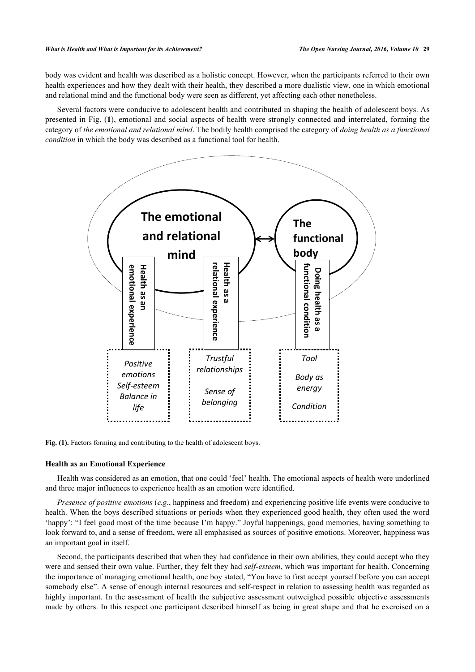body was evident and health was described as a holistic concept. However, when the participants referred to their own health experiences and how they dealt with their health, they described a more dualistic view, one in which emotional and relational mind and the functional body were seen as different, yet affecting each other nonetheless.

<span id="page-3-0"></span>Several factors were conducive to adolescent health and contributed in shaping the health of adolescent boys. As presented in Fig. (**[1](#page-3-0)**), emotional and social aspects of health were strongly connected and interrelated, forming the category of *the emotional and relational mind*. The bodily health comprised the category of *doing health as a functional condition* in which the body was described as a functional tool for health.



Fig. (1). Factors forming and contributing to the health of adolescent boys.

# **Health as an Emotional Experience**

Health was considered as an emotion, that one could 'feel' health. The emotional aspects of health were underlined and three major influences to experience health as an emotion were identified.

*Presence of positive emotions* (*e.g.*, happiness and freedom) and experiencing positive life events were conducive to health. When the boys described situations or periods when they experienced good health, they often used the word 'happy': "I feel good most of the time because I'm happy." Joyful happenings, good memories, having something to look forward to, and a sense of freedom, were all emphasised as sources of positive emotions. Moreover, happiness was an important goal in itself.

Second, the participants described that when they had confidence in their own abilities, they could accept who they were and sensed their own value. Further, they felt they had *self-esteem*, which was important for health. Concerning the importance of managing emotional health, one boy stated, "You have to first accept yourself before you can accept somebody else". A sense of enough internal resources and self-respect in relation to assessing health was regarded as highly important. In the assessment of health the subjective assessment outweighed possible objective assessments made by others. In this respect one participant described himself as being in great shape and that he exercised on a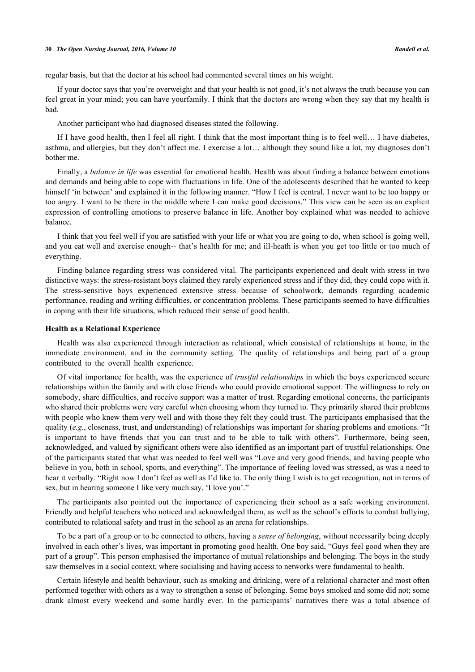regular basis, but that the doctor at his school had commented several times on his weight.

If your doctor says that you're overweight and that your health is not good, it's not always the truth because you can feel great in your mind; you can have yourfamily. I think that the doctors are wrong when they say that my health is bad.

Another participant who had diagnosed diseases stated the following.

If I have good health, then I feel all right. I think that the most important thing is to feel well… I have diabetes, asthma, and allergies, but they don't affect me. I exercise a lot… although they sound like a lot, my diagnoses don't bother me.

Finally, a *balance in life* was essential for emotional health. Health was about finding a balance between emotions and demands and being able to cope with fluctuations in life. One of the adolescents described that he wanted to keep himself 'in between' and explained it in the following manner. "How I feel is central. I never want to be too happy or too angry. I want to be there in the middle where I can make good decisions." This view can be seen as an explicit expression of controlling emotions to preserve balance in life. Another boy explained what was needed to achieve balance.

I think that you feel well if you are satisfied with your life or what you are going to do, when school is going well, and you eat well and exercise enough-- that's health for me; and ill-heath is when you get too little or too much of everything.

Finding balance regarding stress was considered vital. The participants experienced and dealt with stress in two distinctive ways: the stress-resistant boys claimed they rarely experienced stress and if they did, they could cope with it. The stress-sensitive boys experienced extensive stress because of schoolwork, demands regarding academic performance, reading and writing difficulties, or concentration problems. These participants seemed to have difficulties in coping with their life situations, which reduced their sense of good health.

#### **Health as a Relational Experience**

Health was also experienced through interaction as relational, which consisted of relationships at home, in the immediate environment, and in the community setting. The quality of relationships and being part of a group contributed to the overall health experience.

Of vital importance for health, was the experience of *trustful relationships* in which the boys experienced secure relationships within the family and with close friends who could provide emotional support. The willingness to rely on somebody, share difficulties, and receive support was a matter of trust. Regarding emotional concerns, the participants who shared their problems were very careful when choosing whom they turned to. They primarily shared their problems with people who knew them very well and with those they felt they could trust. The participants emphasised that the quality (*e.g.*, closeness, trust, and understanding) of relationships was important for sharing problems and emotions. "It is important to have friends that you can trust and to be able to talk with others". Furthermore, being seen, acknowledged, and valued by significant others were also identified as an important part of trustful relationships. One of the participants stated that what was needed to feel well was "Love and very good friends, and having people who believe in you, both in school, sports, and everything". The importance of feeling loved was stressed, as was a need to hear it verbally. "Right now I don't feel as well as I'd like to. The only thing I wish is to get recognition, not in terms of sex, but in hearing someone I like very much say, 'I love you'."

The participants also pointed out the importance of experiencing their school as a safe working environment. Friendly and helpful teachers who noticed and acknowledged them, as well as the school's efforts to combat bullying, contributed to relational safety and trust in the school as an arena for relationships.

To be a part of a group or to be connected to others, having a *sense of belonging*, without necessarily being deeply involved in each other's lives, was important in promoting good health. One boy said, "Guys feel good when they are part of a group". This person emphasised the importance of mutual relationships and belonging. The boys in the study saw themselves in a social context, where socialising and having access to networks were fundamental to health.

Certain lifestyle and health behaviour, such as smoking and drinking, were of a relational character and most often performed together with others as a way to strengthen a sense of belonging. Some boys smoked and some did not; some drank almost every weekend and some hardly ever. In the participants' narratives there was a total absence of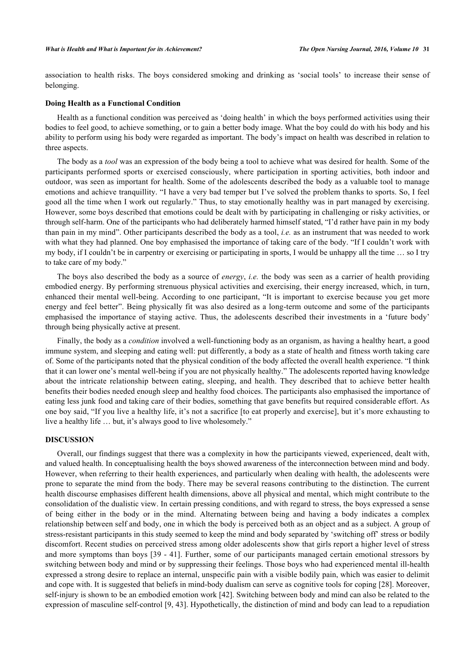association to health risks. The boys considered smoking and drinking as 'social tools' to increase their sense of belonging.

## **Doing Health as a Functional Condition**

Health as a functional condition was perceived as 'doing health' in which the boys performed activities using their bodies to feel good, to achieve something, or to gain a better body image. What the boy could do with his body and his ability to perform using his body were regarded as important. The body's impact on health was described in relation to three aspects.

The body as a *tool* was an expression of the body being a tool to achieve what was desired for health. Some of the participants performed sports or exercised consciously, where participation in sporting activities, both indoor and outdoor, was seen as important for health. Some of the adolescents described the body as a valuable tool to manage emotions and achieve tranquillity. "I have a very bad temper but I've solved the problem thanks to sports. So, I feel good all the time when I work out regularly." Thus, to stay emotionally healthy was in part managed by exercising. However, some boys described that emotions could be dealt with by participating in challenging or risky activities, or through self-harm. One of the participants who had deliberately harmed himself stated, "I'd rather have pain in my body than pain in my mind". Other participants described the body as a tool, *i.e.* as an instrument that was needed to work with what they had planned. One boy emphasised the importance of taking care of the body. "If I couldn't work with my body, if I couldn't be in carpentry or exercising or participating in sports, I would be unhappy all the time … so I try to take care of my body."

The boys also described the body as a source of *energy*, *i.e.* the body was seen as a carrier of health providing embodied energy. By performing strenuous physical activities and exercising, their energy increased, which, in turn, enhanced their mental well-being. According to one participant, "It is important to exercise because you get more energy and feel better". Being physically fit was also desired as a long-term outcome and some of the participants emphasised the importance of staying active. Thus, the adolescents described their investments in a 'future body' through being physically active at present.

Finally, the body as a *condition* involved a well-functioning body as an organism, as having a healthy heart, a good immune system, and sleeping and eating well: put differently, a body as a state of health and fitness worth taking care of. Some of the participants noted that the physical condition of the body affected the overall health experience. "I think that it can lower one's mental well-being if you are not physically healthy." The adolescents reported having knowledge about the intricate relationship between eating, sleeping, and health. They described that to achieve better health benefits their bodies needed enough sleep and healthy food choices. The participants also emphasised the importance of eating less junk food and taking care of their bodies, something that gave benefits but required considerable effort. As one boy said, "If you live a healthy life, it's not a sacrifice [[to eat properly and exercise\]](#page--1-0), but it's more exhausting to live a healthy life … but, it's always good to live wholesomely."

# **DISCUSSION**

Overall, our findings suggest that there was a complexity in how the participants viewed, experienced, dealt with, and valued health. In conceptualising health the boys showed awareness of the interconnection between mind and body. However, when referring to their health experiences, and particularly when dealing with health, the adolescents were prone to separate the mind from the body. There may be several reasons contributing to the distinction. The current health discourse emphasises different health dimensions, above all physical and mental, which might contribute to the consolidation of the dualistic view. In certain pressing conditions, and with regard to stress, the boys expressed a sense of being either in the body or in the mind. Alternating between being and having a body indicates a complex relationship between self and body, one in which the body is perceived both as an object and as a subject. A group of stress-resistant participants in this study seemed to keep the mind and body separated by 'switching off' stress or bodily discomfort. Recent studies on perceived stress among older adolescents show that girls report a higher level of stress and more symptoms than boys [[39](#page-8-20) - [41\]](#page-8-21). Further, some of our participants managed certain emotional stressors by switching between body and mind or by suppressing their feelings. Those boys who had experienced mental ill-health expressed a strong desire to replace an internal, unspecific pain with a visible bodily pain, which was easier to delimit and cope with. It is suggested that beliefs in mind-body dualism can serve as cognitive tools for coping [[28](#page-8-9)]. Moreover, self-injury is shown to be an embodied emotion work [[42\]](#page-8-22). Switching between body and mind can also be related to the expression of masculine self-control [[9](#page-7-14)[, 43](#page-8-23)]. Hypothetically, the distinction of mind and body can lead to a repudiation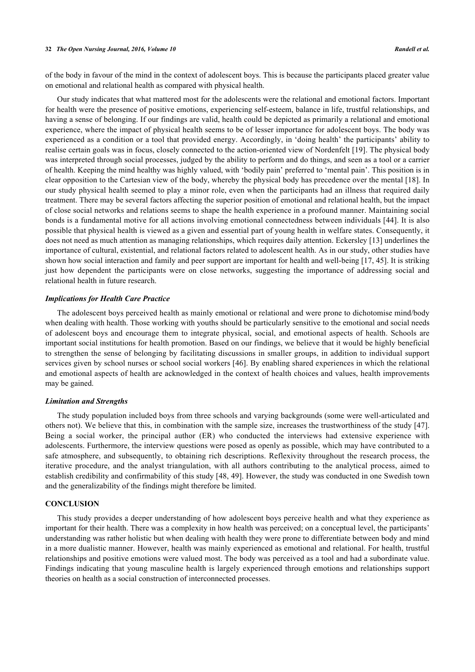of the body in favour of the mind in the context of adolescent boys. This is because the participants placed greater value on emotional and relational health as compared with physical health.

Our study indicates that what mattered most for the adolescents were the relational and emotional factors. Important for health were the presence of positive emotions, experiencing self-esteem, balance in life, trustful relationships, and having a sense of belonging. If our findings are valid, health could be depicted as primarily a relational and emotional experience, where the impact of physical health seems to be of lesser importance for adolescent boys. The body was experienced as a condition or a tool that provided energy. Accordingly, in 'doing health' the participants' ability to realise certain goals was in focus, closely connected to the action-oriented view of Nordenfelt [[19\]](#page-8-1). The physical body was interpreted through social processes, judged by the ability to perform and do things, and seen as a tool or a carrier of health. Keeping the mind healthy was highly valued, with 'bodily pain' preferred to 'mental pain'. This position is in clear opposition to the Cartesian view of the body, whereby the physical body has precedence over the mental [\[18\]](#page-8-0). In our study physical health seemed to play a minor role, even when the participants had an illness that required daily treatment. There may be several factors affecting the superior position of emotional and relational health, but the impact of close social networks and relations seems to shape the health experience in a profound manner. Maintaining social bonds is a fundamental motive for all actions involving emotional connectedness between individuals [[44](#page-8-24)]. It is also possible that physical health is viewed as a given and essential part of young health in welfare states. Consequently, it does not need as much attention as managing relationships, which requires daily attention. Eckersley [\[13](#page-7-8)] underlines the importance of cultural, existential, and relational factors related to adolescent health. As in our study, other studies have shown how social interaction and family and peer support are important for health and well-being [\[17](#page-7-12), [45](#page-8-25)]. It is striking just how dependent the participants were on close networks, suggesting the importance of addressing social and relational health in future research.

#### *Implications for Health Care Practice*

The adolescent boys perceived health as mainly emotional or relational and were prone to dichotomise mind/body when dealing with health. Those working with youths should be particularly sensitive to the emotional and social needs of adolescent boys and encourage them to integrate physical, social, and emotional aspects of health. Schools are important social institutions for health promotion. Based on our findings, we believe that it would be highly beneficial to strengthen the sense of belonging by facilitating discussions in smaller groups, in addition to individual support services given by school nurses or school social workers [[46](#page-9-0)]. By enabling shared experiences in which the relational and emotional aspects of health are acknowledged in the context of health choices and values, health improvements may be gained.

## *Limitation and Strengths*

The study population included boys from three schools and varying backgrounds (some were well-articulated and others not). We believe that this, in combination with the sample size, increases the trustworthiness of the study [[47\]](#page-9-1). Being a social worker, the principal author (ER) who conducted the interviews had extensive experience with adolescents. Furthermore, the interview questions were posed as openly as possible, which may have contributed to a safe atmosphere, and subsequently, to obtaining rich descriptions. Reflexivity throughout the research process, the iterative procedure, and the analyst triangulation, with all authors contributing to the analytical process, aimed to establish credibility and confirmability of this study [\[48](#page-9-2), [49\]](#page-9-3). However, the study was conducted in one Swedish town and the generalizability of the findings might therefore be limited.

# **CONCLUSION**

This study provides a deeper understanding of how adolescent boys perceive health and what they experience as important for their health. There was a complexity in how health was perceived; on a conceptual level, the participants' understanding was rather holistic but when dealing with health they were prone to differentiate between body and mind in a more dualistic manner. However, health was mainly experienced as emotional and relational. For health, trustful relationships and positive emotions were valued most. The body was perceived as a tool and had a subordinate value. Findings indicating that young masculine health is largely experienced through emotions and relationships support theories on health as a social construction of interconnected processes.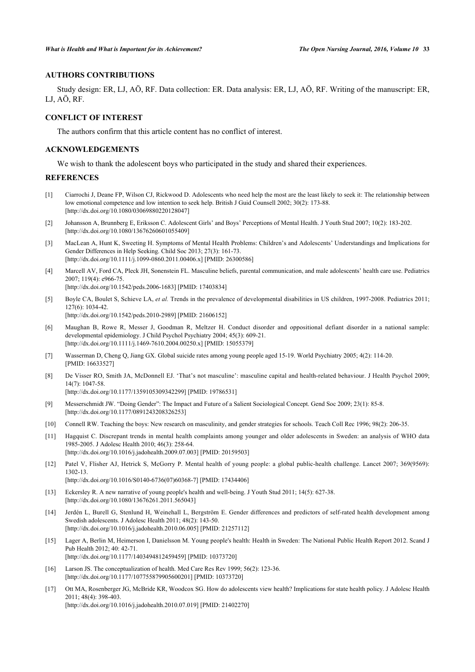# **AUTHORS CONTRIBUTIONS**

Study design: ER, LJ, AÖ, RF. Data collection: ER. Data analysis: ER, LJ, AÖ, RF. Writing of the manuscript: ER, LJ, AÖ, RF.

# **CONFLICT OF INTEREST**

The authors confirm that this article content has no conflict of interest.

### **ACKNOWLEDGEMENTS**

We wish to thank the adolescent boys who participated in the study and shared their experiences.

## **REFERENCES**

- <span id="page-7-0"></span>[1] Ciarrochi J, Deane FP, Wilson CJ, Rickwood D. Adolescents who need help the most are the least likely to seek it: The relationship between low emotional competence and low intention to seek help. British J Guid Counsell 2002; 30(2): 173-88. [\[http://dx.doi.org/10.1080/03069880220128047\]](http://dx.doi.org/10.1080/03069880220128047)
- <span id="page-7-13"></span>[2] Johansson A, Brunnberg E, Eriksson C. Adolescent Girls' and Boys' Perceptions of Mental Health. J Youth Stud 2007; 10(2): 183-202. [\[http://dx.doi.org/10.1080/13676260601055409\]](http://dx.doi.org/10.1080/13676260601055409)
- <span id="page-7-1"></span>[3] MacLean A, Hunt K, Sweeting H. Symptoms of Mental Health Problems: Children's and Adolescents' Understandings and Implications for Gender Differences in Help Seeking. Child Soc 2013; 27(3): 161-73. [\[http://dx.doi.org/10.1111/j.1099-0860.2011.00406.x\]](http://dx.doi.org/10.1111/j.1099-0860.2011.00406.x) [PMID: [26300586](http://www.ncbi.nlm.nih.gov/pubmed/26300586)]
- <span id="page-7-2"></span>[4] Marcell AV, Ford CA, Pleck JH, Sonenstein FL. Masculine beliefs, parental communication, and male adolescents' health care use. Pediatrics 2007; 119(4): e966-75. [\[http://dx.doi.org/10.1542/peds.2006-1683](http://dx.doi.org/10.1542/peds.2006-1683)] [PMID: [17403834\]](http://www.ncbi.nlm.nih.gov/pubmed/17403834)
	-
- <span id="page-7-3"></span>[5] Boyle CA, Boulet S, Schieve LA, *et al.* Trends in the prevalence of developmental disabilities in US children, 1997-2008. Pediatrics 2011; 127(6): 1034-42. [\[http://dx.doi.org/10.1542/peds.2010-2989](http://dx.doi.org/10.1542/peds.2010-2989)] [PMID: [21606152\]](http://www.ncbi.nlm.nih.gov/pubmed/21606152)
- [6] Maughan B, Rowe R, Messer J, Goodman R, Meltzer H. Conduct disorder and oppositional defiant disorder in a national sample: developmental epidemiology. J Child Psychol Psychiatry 2004; 45(3): 609-21. [\[http://dx.doi.org/10.1111/j.1469-7610.2004.00250.x\]](http://dx.doi.org/10.1111/j.1469-7610.2004.00250.x) [PMID: [15055379](http://www.ncbi.nlm.nih.gov/pubmed/15055379)]
- <span id="page-7-4"></span>[7] Wasserman D, Cheng Q, Jiang GX. Global suicide rates among young people aged 15-19. World Psychiatry 2005; 4(2): 114-20. [PMID: [16633527\]](http://www.ncbi.nlm.nih.gov/pubmed/16633527)
- <span id="page-7-5"></span>[8] De Visser RO, Smith JA, McDonnell EJ. 'That's not masculine': masculine capital and health-related behaviour. J Health Psychol 2009; 14(7): 1047-58. [\[http://dx.doi.org/10.1177/1359105309342299\]](http://dx.doi.org/10.1177/1359105309342299) [PMID: [19786531](http://www.ncbi.nlm.nih.gov/pubmed/19786531)]
	-
- <span id="page-7-14"></span>[9] Messerschmidt JW. "Doing Gender": The Impact and Future of a Salient Sociological Concept. Gend Soc 2009; 23(1): 85-8. [\[http://dx.doi.org/10.1177/0891243208326253\]](http://dx.doi.org/10.1177/0891243208326253)
- <span id="page-7-6"></span>[10] Connell RW. Teaching the boys: New research on masculinity, and gender strategies for schools. Teach Coll Rec 1996; 98(2): 206-35.
- <span id="page-7-7"></span>[11] Hagquist C. Discrepant trends in mental health complaints among younger and older adolescents in Sweden: an analysis of WHO data 1985-2005. J Adolesc Health 2010; 46(3): 258-64. [\[http://dx.doi.org/10.1016/j.jadohealth.2009.07.003](http://dx.doi.org/10.1016/j.jadohealth.2009.07.003)] [PMID: [20159503\]](http://www.ncbi.nlm.nih.gov/pubmed/20159503)
- [12] Patel V, Flisher AJ, Hetrick S, McGorry P. Mental health of young people: a global public-health challenge. Lancet 2007; 369(9569): 1302-13. [\[http://dx.doi.org/10.1016/S0140-6736\(07\)60368-7\]](http://dx.doi.org/10.1016/S0140-6736(07)60368-7) [PMID: [17434406](http://www.ncbi.nlm.nih.gov/pubmed/17434406)]
- <span id="page-7-8"></span>[13] Eckersley R. A new narrative of young people's health and well-being. J Youth Stud 2011; 14(5): 627-38.
- [\[http://dx.doi.org/10.1080/13676261.2011.565043\]](http://dx.doi.org/10.1080/13676261.2011.565043)
- <span id="page-7-9"></span>[14] Jerdén L, Burell G, Stenlund H, Weinehall L, Bergström E. Gender differences and predictors of self-rated health development among Swedish adolescents. J Adolesc Health 2011; 48(2): 143-50. [\[http://dx.doi.org/10.1016/j.jadohealth.2010.06.005](http://dx.doi.org/10.1016/j.jadohealth.2010.06.005)] [PMID: [21257112\]](http://www.ncbi.nlm.nih.gov/pubmed/21257112)
- <span id="page-7-10"></span>[15] Lager A, Berlin M, Heimerson I, Danielsson M. Young people's health: Health in Sweden: The National Public Health Report 2012. Scand J Pub Health 2012; 40: 42-71. [\[http://dx.doi.org/10.1177/1403494812459459\]](http://dx.doi.org/10.1177/1403494812459459) [PMID: [10373720](http://www.ncbi.nlm.nih.gov/pubmed/10373720)]
- <span id="page-7-11"></span>[16] Larson JS. The conceptualization of health. Med Care Res Rev 1999; 56(2): 123-36. [\[http://dx.doi.org/10.1177/107755879905600201\]](http://dx.doi.org/10.1177/107755879905600201) [PMID: [10373720](http://www.ncbi.nlm.nih.gov/pubmed/10373720)]
- <span id="page-7-12"></span>[17] Ott MA, Rosenberger JG, McBride KR, Woodcox SG. How do adolescents view health? Implications for state health policy. J Adolesc Health 2011; 48(4): 398-403. [\[http://dx.doi.org/10.1016/j.jadohealth.2010.07.019](http://dx.doi.org/10.1016/j.jadohealth.2010.07.019)] [PMID: [21402270\]](http://www.ncbi.nlm.nih.gov/pubmed/21402270)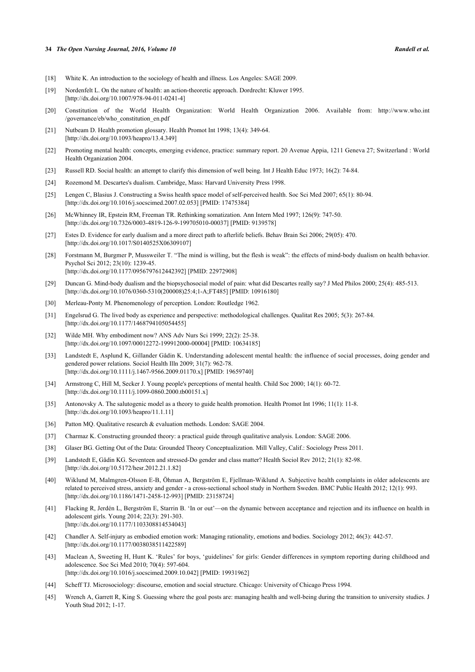#### **34** *The Open Nursing Journal, 2016, Volume 10 Randell et al.*

- <span id="page-8-0"></span>[18] White K. An introduction to the sociology of health and illness. Los Angeles: SAGE 2009.
- <span id="page-8-1"></span>[19] Nordenfelt L. On the nature of health: an action-theoretic approach. Dordrecht: Kluwer 1995. [\[http://dx.doi.org/10.1007/978-94-011-0241-4](http://dx.doi.org/10.1007/978-94-011-0241-4)]
- <span id="page-8-2"></span>[20] Constitution of the World Health Organization: World Health Organization 2006. Available from: [http://www.who.int](http://www.who.int/governance/eb/who_constitution_en.pdf) [/governance/eb/who\\_constitution\\_en.pdf](http://www.who.int/governance/eb/who_constitution_en.pdf)
- <span id="page-8-3"></span>[21] Nutbeam D. Health promotion glossary. Health Promot Int 1998; 13(4): 349-64. [\[http://dx.doi.org/10.1093/heapro/13.4.349\]](http://dx.doi.org/10.1093/heapro/13.4.349)
- [22] Promoting mental health: concepts, emerging evidence, practice: summary report. 20 Avenue Appia, 1211 Geneva 27; Switzerland : World Health Organization 2004.
- <span id="page-8-4"></span>[23] Russell RD. Social health: an attempt to clarify this dimension of well being. Int J Health Educ 1973; 16(2): 74-84.
- <span id="page-8-5"></span>[24] Rozemond M. Descartes's dualism. Cambridge, Mass: Harvard University Press 1998.
- <span id="page-8-6"></span>[25] Lengen C, Blasius J. Constructing a Swiss health space model of self-perceived health. Soc Sci Med 2007; 65(1): 80-94. [\[http://dx.doi.org/10.1016/j.socscimed.2007.02.053](http://dx.doi.org/10.1016/j.socscimed.2007.02.053)] [PMID: [17475384\]](http://www.ncbi.nlm.nih.gov/pubmed/17475384)
- <span id="page-8-7"></span>[26] McWhinney IR, Epstein RM, Freeman TR. Rethinking somatization. Ann Intern Med 1997; 126(9): 747-50. [\[http://dx.doi.org/10.7326/0003-4819-126-9-199705010-00037](http://dx.doi.org/10.7326/0003-4819-126-9-199705010-00037)] [PMID: [9139578\]](http://www.ncbi.nlm.nih.gov/pubmed/9139578)
- <span id="page-8-8"></span>[27] Estes D. Evidence for early dualism and a more direct path to afterlife beliefs. Behav Brain Sci 2006; 29(05): 470. [\[http://dx.doi.org/10.1017/S0140525X06309107](http://dx.doi.org/10.1017/S0140525X06309107)]
- <span id="page-8-9"></span>[28] Forstmann M, Burgmer P, Mussweiler T. "The mind is willing, but the flesh is weak": the effects of mind-body dualism on health behavior. Psychol Sci 2012; 23(10): 1239-45. [\[http://dx.doi.org/10.1177/0956797612442392\]](http://dx.doi.org/10.1177/0956797612442392) [PMID: [22972908](http://www.ncbi.nlm.nih.gov/pubmed/22972908)]
- <span id="page-8-10"></span>[29] Duncan G. Mind-body dualism and the biopsychosocial model of pain: what did Descartes really say? J Med Philos 2000; 25(4): 485-513. [\[http://dx.doi.org/10.1076/0360-5310\(200008\)25:4;1-A;FT485](http://dx.doi.org/10.1076/0360-5310(200008)25:4;1-A;FT485)] [PMID: [10916180\]](http://www.ncbi.nlm.nih.gov/pubmed/10916180)
- <span id="page-8-11"></span>[30] Merleau-Ponty M. Phenomenology of perception. London: Routledge 1962.
- <span id="page-8-12"></span>[31] Engelsrud G. The lived body as experience and perspective: methodological challenges. Qualitat Res 2005; 5(3): 267-84. [\[http://dx.doi.org/10.1177/1468794105054455\]](http://dx.doi.org/10.1177/1468794105054455)
- <span id="page-8-13"></span>[32] Wilde MH. Why embodiment now? ANS Adv Nurs Sci 1999; 22(2): 25-38. [\[http://dx.doi.org/10.1097/00012272-199912000-00004](http://dx.doi.org/10.1097/00012272-199912000-00004)] [PMID: [10634185\]](http://www.ncbi.nlm.nih.gov/pubmed/10634185)
- <span id="page-8-14"></span>[33] Landstedt E, Asplund K, Gillander Gådin K. Understanding adolescent mental health: the influence of social processes, doing gender and gendered power relations. Sociol Health Illn 2009; 31(7): 962-78. [\[http://dx.doi.org/10.1111/j.1467-9566.2009.01170.x\]](http://dx.doi.org/10.1111/j.1467-9566.2009.01170.x) [PMID: [19659740](http://www.ncbi.nlm.nih.gov/pubmed/19659740)]
- <span id="page-8-15"></span>[34] Armstrong C, Hill M, Secker J. Young people's perceptions of mental health. Child Soc 2000; 14(1): 60-72. [\[http://dx.doi.org/10.1111/j.1099-0860.2000.tb00151.x\]](http://dx.doi.org/10.1111/j.1099-0860.2000.tb00151.x)
- <span id="page-8-16"></span>[35] Antonovsky A. The salutogenic model as a theory to guide health promotion. Health Promot Int 1996; 11(1): 11-8. [\[http://dx.doi.org/10.1093/heapro/11.1.11\]](http://dx.doi.org/10.1093/heapro/11.1.11)
- <span id="page-8-17"></span>[36] Patton MQ. Qualitative research & evaluation methods. London: SAGE 2004.
- <span id="page-8-18"></span>[37] Charmaz K. Constructing grounded theory: a practical guide through qualitative analysis. London: SAGE 2006.
- <span id="page-8-19"></span>[38] Glaser BG. Getting Out of the Data: Grounded Theory Conceptualization. Mill Valley, Calif.: Sociology Press 2011.
- <span id="page-8-20"></span>[39] Landstedt E, Gådin KG. Seventeen and stressed-Do gender and class matter? Health Sociol Rev 2012; 21(1): 82-98. [\[http://dx.doi.org/10.5172/hesr.2012.21.1.82](http://dx.doi.org/10.5172/hesr.2012.21.1.82)]
- [40] Wiklund M, Malmgren-Olsson E-B, Öhman A, Bergström E, Fjellman-Wiklund A. Subjective health complaints in older adolescents are related to perceived stress, anxiety and gender - a cross-sectional school study in Northern Sweden. BMC Public Health 2012; 12(1): 993. [\[http://dx.doi.org/10.1186/1471-2458-12-993\]](http://dx.doi.org/10.1186/1471-2458-12-993) [PMID: [23158724](http://www.ncbi.nlm.nih.gov/pubmed/23158724)]
- <span id="page-8-21"></span>[41] Flacking R, Jerdén L, Bergström E, Starrin B. 'In or out'—on the dynamic between acceptance and rejection and its influence on health in adolescent girls. Young 2014; 22(3): 291-303. [\[http://dx.doi.org/10.1177/1103308814534043\]](http://dx.doi.org/10.1177/1103308814534043)
- <span id="page-8-22"></span>[42] Chandler A. Self-injury as embodied emotion work: Managing rationality, emotions and bodies. Sociology 2012; 46(3): 442-57. [\[http://dx.doi.org/10.1177/0038038511422589\]](http://dx.doi.org/10.1177/0038038511422589)
- <span id="page-8-23"></span>[43] Maclean A, Sweeting H, Hunt K. 'Rules' for boys, 'guidelines' for girls: Gender differences in symptom reporting during childhood and adolescence. Soc Sci Med 2010; 70(4): 597-604. [\[http://dx.doi.org/10.1016/j.socscimed.2009.10.042](http://dx.doi.org/10.1016/j.socscimed.2009.10.042)] [PMID: [19931962\]](http://www.ncbi.nlm.nih.gov/pubmed/19931962)
- <span id="page-8-24"></span>[44] Scheff TJ. Microsociology: discourse, emotion and social structure. Chicago: University of Chicago Press 1994.
- <span id="page-8-25"></span>[45] Wrench A, Garrett R, King S. Guessing where the goal posts are: managing health and well-being during the transition to university studies. J Youth Stud 2012; 1-17.